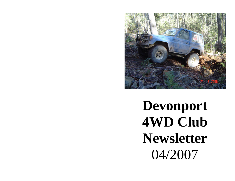

**Devonport 4WD Club Newsletter**  04/2007